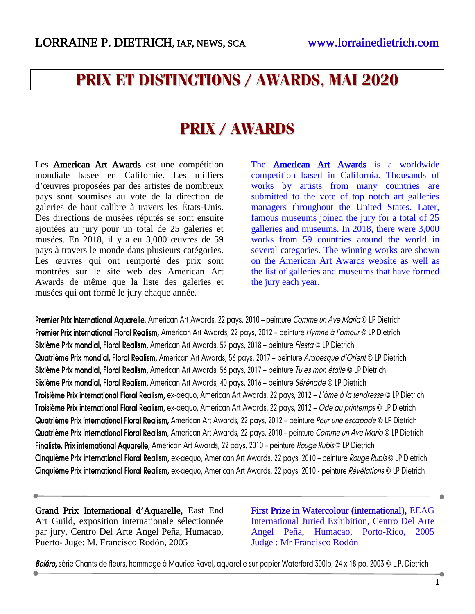## **PRIX ET DISTINCTIONS / AWARDS, MAI 2020**

## **PRIX / AWARDS**

Les American Art Awards est une compétition mondiale basée en Californie. Les milliers d'œuvres proposées par des artistes de nombreux pays sont soumises au vote de la direction de galeries de haut calibre à travers les États-Unis. Des directions de musées réputés se sont ensuite ajoutées au jury pour un total de 25 galeries et musées. En 2018, il y a eu 3,000 œuvres de 59 pays à travers le monde dans plusieurs catégories. Les œuvres qui ont remporté des prix sont montrées sur le site web des American Art Awards de même que la liste des galeries et musées qui ont formé le jury chaque année.

The **American Art Awards** is a worldwide competition based in California. Thousands of works by artists from many countries are submitted to the vote of top notch art galleries managers throughout the United States. Later, famous museums joined the jury for a total of 25 galleries and museums. In 2018, there were 3,000 works from 59 countries around the world in several categories. The winning works are shown on the American Art Awards website as well as the list of galleries and museums that have formed the jury each year.

Premier Prix international Aquarelle, American Art Awards, 22 pays. 2010 – peinture *Comme un Ave Maria* © LP Dietrich Premier Prix international Floral Realism, American Art Awards, 22 pays, 2012 – peinture *Hymne à l'amour* © LP Dietrich Sixième Prix mondial, Floral Realism, American Art Awards, 59 pays, 2018 – peinture *Fiesta* © LP Dietrich Quatrième Prix mondial, Floral Realism, American Art Awards, 56 pays, 2017 – peinture *Arabesque d'Orient* © LP Dietrich Sixième Prix mondial, Floral Realism, American Art Awards, 56 pays, 2017 – peinture *Tu es mon étoile* © LP Dietrich Sixième Prix mondial, Floral Realism, American Art Awards, 40 pays, 2016 – peinture *Sérénade* © LP Dietrich Troisième Prix international Floral Realism, ex-aequo, American Art Awards, 22 pays, 2012 – *L'âme à la tendresse* © LP Dietrich Troisième Prix international Floral Realism, ex-aequo, American Art Awards, 22 pays, 2012 – *Ode au printemps* © LP Dietrich Quatrième Prix international Floral Realism, American Art Awards, 22 pays, 2012 – peinture *Pour une escapade* © LP Dietrich Quatrième Prix international Floral Realism, American Art Awards, 22 pays. 2010 – peinture *Comme un Ave Maria* © LP Dietrich Finaliste, Prix international Aquarelle, American Art Awards, 22 pays. 2010 – peinture *Rouge Rubis* © LP Dietrich Cinquième Prix international Floral Realism, ex-aequo, American Art Awards, 22 pays. 2010 – peinture *Rouge Rubis* © LP Dietrich Cinquième Prix international Floral Realism, ex-aequo, American Art Awards, 22 pays. 2010 - peinture *Révélations* © LP Dietrich

Grand Prix International d'Aquarelle, East End Art Guild, exposition internationale sélectionnée par jury, Centro Del Arte Angel Peña, Humacao, Puerto- Juge: M. Francisco Rodón, 2005

First Prize in Watercolour (international), EEAG International Juried Exhibition, Centro Del Arte Angel Peña, Humacao, Porto-Rico, 2005 Judge : Mr Francisco Rodón

*Boléro,* série Chants de fleurs, hommage à Maurice Ravel, aquarelle sur papier Waterford 300lb, 24 x 18 po. 2003 © L.P. Dietrich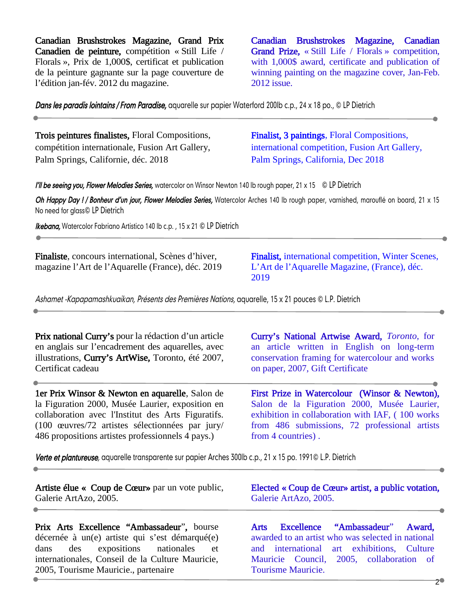Canadian Brushstrokes Magazine, Grand Prix Canadien de peinture, compétition « Still Life / Florals », Prix de 1,000\$, certificat et publication de la peinture gagnante sur la page couverture de l'édition jan-fév. 2012 du magazine.

Canadian Brushstrokes Magazine, Canadian Grand Prize, « Still Life / Florals » competition, with 1,000\$ award, certificate and publication of winning painting on the magazine cover, Jan-Feb. 2012 issue.

*Dans les paradis lointains / From Paradise,* aquarelle sur papier Waterford 200lb c.p., 24 x 18 po., © LP Dietrich

Trois peintures finalistes, Floral Compositions, compétition internationale, Fusion Art Gallery, Palm Springs, Californie, déc. 2018

Finalist, 3 paintings, Floral Compositions, international competition, Fusion Art Gallery, Palm Springs, California, Dec 2018

*I'll be seeing you, Flower Melodies Series,* watercolor on Winsor Newton 140 lb rough paper, 21 x 15 © LP Dietrich

*Oh Happy Day ! / Bonheur d'un jour, Flower Melodies Series,* Watercolor Arches 140 lb rough paper, varnished, marouflé on board, 21 x 15 No need for glass© LP Dietrich

*Ikebana, Watercolor Fabriano Artistico 140 lb c.p., 15 x 21 © LP Dietrich* 

Finaliste, concours international, Scènes d'hiver, magazine l'Art de l'Aquarelle (France), déc. 2019 Finalist, international competition, Winter Scenes, L'Art de l'Aquarelle Magazine, (France), déc. 2019

*Ashamet -Kapapamashkuaikan, Présents des Premières Nations,* aquarelle, 15 x 21 pouces © L.P. Dietrich

Prix national Curry's pour la rédaction d'un article en anglais sur l'encadrement des aquarelles, avec illustrations, Curry's ArtWise, Toronto, été 2007, Certificat cadeau

1er Prix Winsor & Newton en aquarelle, Salon de la Figuration 2000, Musée Laurier, exposition en collaboration avec l'Institut des Arts Figuratifs. (100 œuvres/72 artistes sélectionnées par jury/ 486 propositions artistes professionnels 4 pays.)

2005, Tourisme Mauricie., partenaire

l

Curry's National Artwise Award, *Toronto,* for an article written in English on long-term conservation framing for watercolour and works on paper, 2007, Gift Certificate

First Prize in Watercolour (Winsor & Newton), Salon de la Figuration 2000, Musée Laurier, exhibition in collaboration with IAF, ( 100 works from 486 submissions, 72 professional artists from 4 countries) .

*Verte et plantureuse,* aquarelle transparente sur papier Arches 300lb c.p., 21 x 15 po. 1991© L.P. Dietrich

| Artiste élue « Coup de Cœur» par un vote public,<br>Galerie ArtAzo, 2005.<br>$\bullet$ and the set of $\bullet$ | Elected « Coup de Cœur» artist, a public votation,<br>Galerie ArtAzo, 2005. |
|-----------------------------------------------------------------------------------------------------------------|-----------------------------------------------------------------------------|
| Prix Arts Excellence "Ambassadeur", bourse                                                                      | Arts Excellence "Ambassadeur" Award,                                        |
| décernée à un(e) artiste qui s'est démarqué(e)                                                                  | awarded to an artist who was selected in national                           |
| dans des expositions nationales et                                                                              | and international art exhibitions, Culture                                  |
| internationales, Conseil de la Culture Mauricie,                                                                | Mauricie Council, 2005, collaboration of                                    |

Tourisme Mauricie.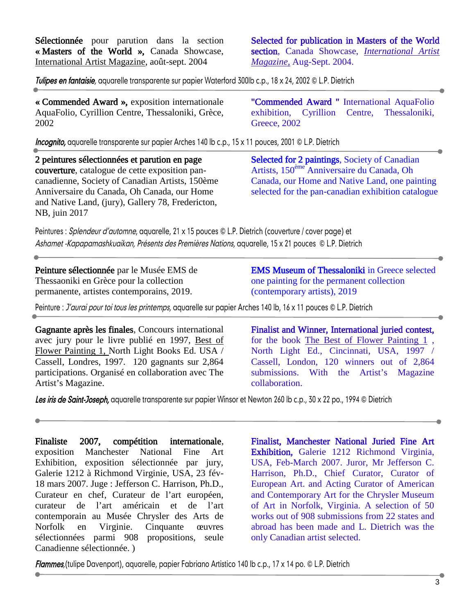Sélectionnée pour parution dans la section « Masters of the World », Canada Showcase, International Artist Magazine, août-sept. 2004

Selected for publication in Masters of the World section, Canada Showcase, *International Artist Magazine,* Aug-Sept. 2004.

*Tulipes en fantaisie,* aquarelle transparente sur papier Waterford 300lb c.p., 18 x 24, 2002 © L.P. Dietrich

« Commended Award », exposition internationale AquaFolio, Cyrillion Centre, Thessaloniki, Grèce, 2002

"Commended Award " International AquaFolio exhibition, Cyrillion Centre, Thessaloniki, Greece, 2002

*Incognito,* aquarelle transparente sur papier Arches 140 lb c.p., 15 x 11 pouces, 2001 © L.P. Dietrich

2 peintures sélectionnées et parution en page couverture, catalogue de cette exposition pancanadienne, Society of Canadian Artists, 150ème Anniversaire du Canada, Oh Canada, our Home and Native Land, (jury), Gallery 78, Fredericton, NB, juin 2017

j

l Ĭ

 $\bullet$ 

Selected for 2 paintings, Society of Canadian Artists, 150<sup>ème</sup> Anniversaire du Canada, Oh Canada, our Home and Native Land, one painting selected for the pan-canadian exhibition catalogue

Peintures : *Splendeur d'automne*, aquarelle, 21 x 15 pouces © L.P. Dietrich (couverture / cover page) et *Ashamet -Kapapamashkuaikan, Présents des Premières Nations,* aquarelle, 15 x 21 pouces © L.P. Dietrich

Peinture sélectionnée par le Musée EMS de Thessaoniki en Grèce pour la collection permanente, artistes contemporains, 2019.

EMS Museum of Thessaloniki in Greece selected one painting for the permanent collection (contemporary artists), 2019

Peinture : *J'aurai pour toi tous les printemps,* aquarelle sur papier Arches 140 lb, 16 x 11 pouces © L.P. Dietrich

Ĩ Gagnante après les finales, Concours international avec jury pour le livre publié en 1997, Best of Flower Painting 1, North Light Books Ed. USA / Cassell, Londres, 1997. 120 gagnants sur 2,864 participations. Organisé en collaboration avec The Artist's Magazine.

Finalist and Winner, International juried contest, for the book The Best of Flower Painting 1 , North Light Ed., Cincinnati, USA, 1997 / Cassell, London, 120 winners out of 2,864 submissions. With the Artist's Magazine collaboration.

*Les iris de Saint-Joseph,* aquarelle transparente sur papier Winsor et Newton 260 lb c.p., 30 x 22 po., 1994 © Dietrich

Finaliste 2007, compétition internationale, exposition Manchester National Fine Art Exhibition, exposition sélectionnée par jury, Galerie 1212 à Richmond Virginie, USA, 23 fév-18 mars 2007. Juge : Jefferson C. Harrison, Ph.D., Curateur en chef, Curateur de l'art européen, curateur de l'art américain et de l'art contemporain au Musée Chrysler des Arts de Norfolk en Virginie. Cinquante œuvres sélectionnées parmi 908 propositions, seule Canadienne sélectionnée. )

Finalist, Manchester National Juried Fine Art Exhibition,Galerie 1212 Richmond Virginia, USA, Feb-March 2007. Juror, Mr Jefferson C. Harrison, Ph.D., Chief Curator, Curator of European Art. and Acting Curator of American and Contemporary Art for the Chrysler Museum of Art in Norfolk, Virginia. A selection of 50 works out of 908 submissions from 22 states and abroad has been made and L. Dietrich was the only Canadian artist selected.

*Flammes,*(tulipe Davenport), aquarelle, papier Fabriano Artistico 140 lb c.p., 17 x 14 po. © L.P. Dietrich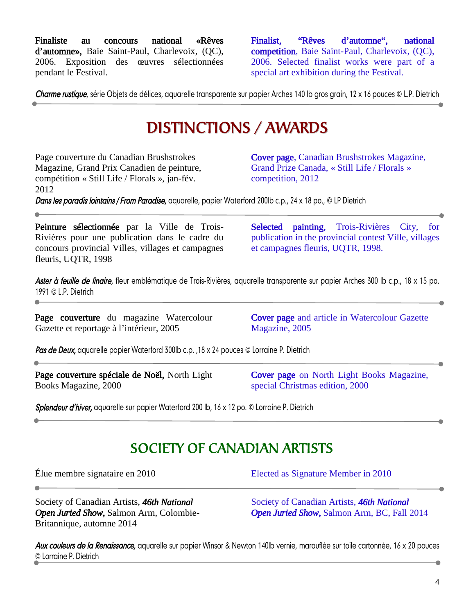Finaliste au concours national «Rêves d'automne», Baie Saint-Paul, Charlevoix, (QC), 2006. Exposition des œuvres sélectionnées pendant le Festival.

Finalist, "Rêves d'automne", national competition,Baie Saint-Paul, Charlevoix, (QC), 2006. Selected finalist works were part of a special art exhibition during the Festival.

*Charme rustique,* série Objets de délices, aquarelle transparente sur papier Arches 140 lb gros grain, 12 x 16 pouces © L.P. Dietrich

# DISTINCTIONS / AWARDS

Page couverture du Canadian Brushstrokes Magazine, Grand Prix Canadien de peinture, compétition « Still Life / Florals », jan-fév. 2012

Cover page, Canadian Brushstrokes Magazine, Grand Prize Canada, « Still Life / Florals » competition, 2012

*Dans les paradis lointains / From Paradise,* aquarelle, papier Waterford 200lb c.p., 24 x 18 po., © LP Dietrich

Peinture sélectionnée par la Ville de Trois-Rivières pour une publication dans le cadre du concours provincial Villes, villages et campagnes fleuris, UQTR, 1998

Selected painting, Trois-Rivières City, for publication in the provincial contest Ville, villages et campagnes fleuris, UQTR, 1998.

*Aster à feuille de linaire,* fleur emblématique de Trois-Rivières, aquarelle transparente sur papier Arches 300 lb c.p., 18 x 15 po. 1991 © L.P. Dietrich

Page couverture du magazine Watercolour Gazette et reportage à l'intérieur, 2005

I

 $\overline{\phantom{a}}$ 

ī

í

١

Cover page and article in Watercolour Gazette Magazine, 2005

*Pas de Deux,* aquarelle papier Waterford 300lb c.p. ,18 x 24 pouces © Lorraine P. Dietrich

Page couverture spéciale de Noël, North Light Books Magazine, 2000

Cover page on North Light Books Magazine, special Christmas edition, 2000

*Splendeur d'hiver,* aquarelle sur papier Waterford 200 lb, 16 x 12 po. © Lorraine P. Dietrich

## SOCIETY OF CANADIAN ARTISTS

Élue membre signataire en 2010 Elected as Signature Member in 2010

Society of Canadian Artists, *46th National Open Juried Show,* Salmon Arm, Colombie-Britannique, automne 2014

Society of Canadian Artists, *46th National Open Juried Show,* Salmon Arm, BC, Fall 2014

*Aux couleurs de la Renaissance,* aquarelle sur papier Winsor & Newton 140lb vernie, marouflée sur toile cartonnée, 16 x 20 pouces © Lorraine P. Dietrich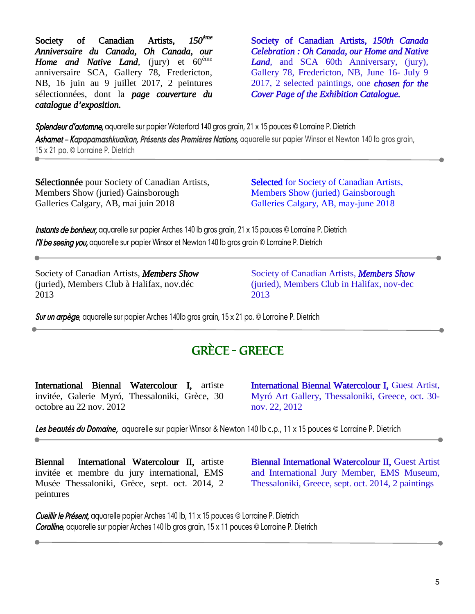Society of Canadian Artists, *150ème Anniversaire du Canada, Oh Canada, our Home and Native Land*, (jury) et 60ème anniversaire SCA, Gallery 78, Fredericton, NB, 16 juin au 9 juillet 2017, 2 peintures sélectionnées, dont la *page couverture du catalogue d'exposition.* 

Society of Canadian Artists, *150th Canada Celebration : Oh Canada, our Home and Native Land*, and SCA 60th Anniversary, (jury), Gallery 78, Fredericton, NB, June 16- July 9 2017, 2 selected paintings, one *chosen for the Cover Page of the Exhibition Catalogue.* 

*Splendeur d'automne,* aquarelle sur papier Waterford 140 gros grain, 21 x 15 pouces © Lorraine P. Dietrich *Ashamet – Kapapamashkuaikan, Présents des Premières Nations,* aquarelle sur papier Winsor et Newton 140 lb gros grain, 15 x 21 po. © Lorraine P. Dietrich

Sélectionnée pour Society of Canadian Artists, Members Show (juried) Gainsborough Galleries Calgary, AB, mai juin 2018

**Selected** for Society of Canadian Artists, Members Show (juried) Gainsborough Galleries Calgary, AB, may-june 2018

*Instants de bonheur,* aquarelle sur papier Arches 140 lb gros grain, 21 x 15 pouces © Lorraine P. Dietrich *I'll be seeing you,* aquarelle sur papier Winsor et Newton 140 lb gros grain © Lorraine P. Dietrich

Society of Canadian Artists, *Members Show* (juried), Members Club à Halifax, nov.déc 2013

Society of Canadian Artists, *Members Show* (juried), Members Club in Halifax, nov-dec 2013

*Sur un arpège*, aquarelle sur papier Arches 140lb gros grain, 15 x 21 po. © Lorraine P. Dietrich

### GRÈCE - GREECE

International Biennal Watercolour I, artiste invitée, Galerie Myró, Thessaloniki, Grèce, 30 octobre au 22 nov. 2012

International Biennal Watercolour I, Guest Artist, Myró Art Gallery, Thessaloniki, Greece, oct. 30 nov. 22, 2012

*Les beautés du Domaine,* aquarelle sur papier Winsor & Newton 140 lb c.p., 11 x 15 pouces © Lorraine P. Dietrich

Biennal International Watercolour II, artiste invitée et membre du jury international, EMS Musée Thessaloniki, Grèce, sept. oct. 2014, 2 peintures

l

Biennal International Watercolour II, Guest Artist and International Jury Member, EMS Museum, Thessaloniki, Greece, sept. oct. 2014, 2 paintings

*Cueillir le Présent,* aquarelle papier Arches 140 lb, 11 x 15 pouces © Lorraine P. Dietrich *Coralline*, aquarelle sur papier Arches 140 lb gros grain, 15 x 11 pouces © Lorraine P. Dietrich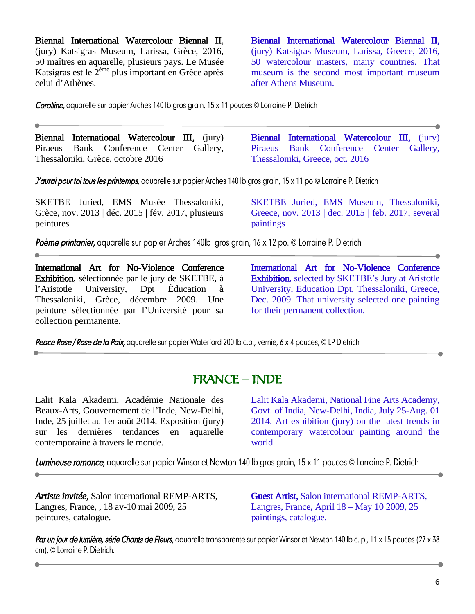Biennal International Watercolour Biennal II, (jury) Katsigras Museum, Larissa, Grèce, 2016, 50 maîtres en aquarelle, plusieurs pays. Le Musée Katsigras est le 2<sup>ème</sup> plus important en Grèce après celui d'Athènes.

Biennal International Watercolour Biennal II, (jury) Katsigras Museum, Larissa, Greece, 2016, 50 watercolour masters, many countries. That museum is the second most important museum after Athens Museum.

*Coralline,* aquarelle sur papier Arches 140 lb gros grain, 15 x 11 pouces © Lorraine P. Dietrich

Biennal International Watercolour III, (jury) Piraeus Bank Conference Center Gallery, Thessaloniki, Grèce, octobre 2016 Biennal International Watercolour III, (jury) Piraeus Bank Conference Center Gallery, Thessaloniki, Greece, oct. 2016 *J'aurai pour toi tous les printemps,* aquarelle sur papier Arches 140 lb gros grain, 15 x 11 po © Lorraine P. Dietrich SKETBE Juried, EMS Musée Thessaloniki, Grèce, nov. 2013 | déc. 2015 | fév. 2017, plusieurs peintures SKETBE Juried, EMS Museum, Thessaloniki, Greece, nov. 2013 | dec. 2015 | feb. 2017, several paintings

*Poème printanier,* aquarelle sur papier Arches 140lb gros grain, 16 x 12 po. © Lorraine P. Dietrich

Ĭ International Art for No-Violence Conference Exhibition, sélectionnée par le jury de SKETBE, à l'Aristotle University, Dpt Éducation à Thessaloniki, Grèce, décembre 2009. Une peinture sélectionnée par l'Université pour sa collection permanente.

International Art for No-Violence Conference Exhibition, selected by SKETBE's Jury at Aristotle University, Education Dpt, Thessaloniki, Greece, Dec. 2009. That university selected one painting for their permanent collection.

*Peace Rose / Rose de la Paix,* aquarelle sur papier Waterford 200 lb c.p., vernie, 6 x 4 pouces, © LP Dietrich

### FRANCE – INDE

Lalit Kala Akademi, Académie Nationale des Beaux-Arts, Gouvernement de l'Inde, New-Delhi, Inde, 25 juillet au 1er août 2014. Exposition (jury) sur les dernières tendances en aquarelle contemporaine à travers le monde.

Lalit Kala Akademi, National Fine Arts Academy, Govt. of India, New-Delhi, India, July 25-Aug. 01 2014. Art exhibition (jury) on the latest trends in contemporary watercolour painting around the world.

*Lumineuse romance*, aquarelle sur papier Winsor et Newton 140 lb gros grain, 15 x 11 pouces © Lorraine P. Dietrich

*Artiste invitée,* Salon international REMP-ARTS, Langres, France, , 18 av-10 mai 2009, 25 peintures, catalogue.

Guest Artist, Salon international REMP-ARTS, Langres, France, April 18 – May 10 2009, 25 paintings, catalogue.

*Par un jour de lumière, série Chants de Fleurs,* aquarelle transparente sur papier Winsor et Newton 140 lb c. p., 11 x 15 pouces (27 x 38 cm), © Lorraine P. Dietrich.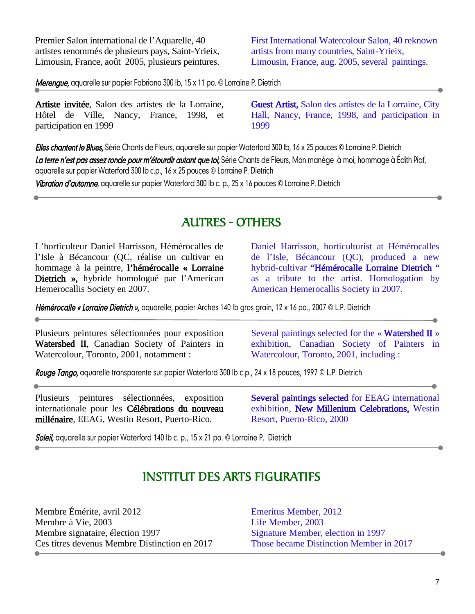Premier Salon international de l'Aquarelle, 40 artistes renommés de plusieurs pays, Saint-Yrieix, Limousin, France, août 2005, plusieurs peintures.

First International Watercolour Salon, 40 reknown artists from many countries, Saint-Yrieix, Limousin, France, aug. 2005, several paintings.

*Merengue,* aquarelle sur papier Fabriano 300 lb, 15 x 11 po. © Lorraine P. Dietrich

Artiste invitée, Salon des artistes de la Lorraine, Hôtel de Ville, Nancy, France, 1998, et participation en 1999

Guest Artist, Salon des artistes de la Lorraine, City Hall, Nancy, France, 1998, and participation in 1999

*Elles chantent le Blues,* Série Chants de Fleurs, aquarelle sur papier Waterford 300 lb, 16 x 25 pouces © Lorraine P. Dietrich La terre n'est pas assez ronde pour m'étourdir autant que toi, Série Chants de Fleurs, Mon manège à moi, hommage à Édith Piaf, aquarelle sur papier Waterford 300 lb c.p., 16 x 25 pouces © Lorraine P. Dietrich

*Vibration d'automne*, aquarelle sur papier Waterford 300 lb c. p., 25 x 16 pouces © Lorraine P. Dietrich

### AUTRES - OTHERS

L'horticulteur Daniel Harrisson, Hémérocalles de l'Isle à Bécancour (QC, réalise un cultivar en hommage à la peintre, l'hémérocalle « Lorraine Dietrich », hybride homologué par l'American Hemerocallis Society en 2007.

Daniel Harrisson, horticulturist at Hémérocalles de l'Isle, Bécancour (QC), produced a new hybrid-cultivar "Hémérocalle Lorraine Dietrich " as a tribute to the artist. Homologation by American Hemerocallis Society in 2007.

*Hémérocalle « Lorraine Dietrich »,* aquarelle, papier Arches 140 lb gros grain, 12 x 16 po., 2007 © L.P. Dietrich

Plusieurs peintures sélectionnées pour exposition Watershed II, Canadian Society of Painters in Watercolour, Toronto, 2001, notamment :

Several paintings selected for the « Watershed II » exhibition, Canadian Society of Painters in Watercolour, Toronto, 2001, including :

*Rouge Tango,* aquarelle transparente sur papier Waterford 300 lb c.p., 24 x 18 pouces, 1997 © L.P. Dietrich

Plusieurs peintures sélectionnées, exposition internationale pour les Célébrations du nouveau millénaire, EEAG, Westin Resort, Puerto-Rico.

Several paintings selectedfor EEAG international exhibition, New Millenium Celebrations, Westin Resort, Puerto-Rico, 2000

*Soleil,* aquarelle sur papier Waterford 140 lb c. p., 15 x 21 po. © Lorraine P. Dietrich

### INSTITUT DES ARTS FIGURATIFS

Membre Émérite, avril 2012 Membre à Vie, 2003 Membre signataire, élection 1997 Ces titres devenus Membre Distinction en 2017

Emeritus Member, 2012 Life Member, 2003 Signature Member, election in 1997 Those became Distinction Member in 2017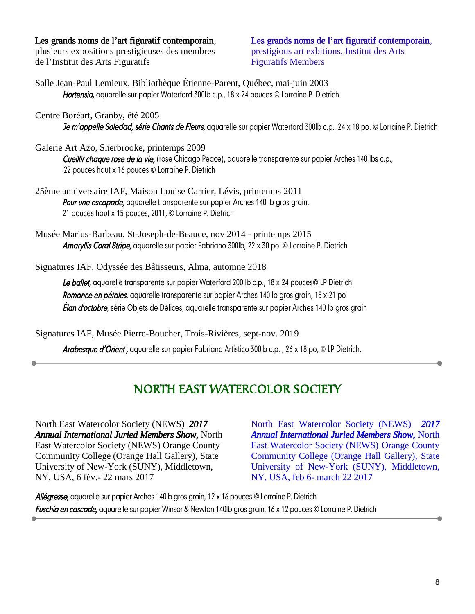#### Les grands noms de l'art figuratif contemporain,

plusieurs expositions prestigieuses des membres de l'Institut des Arts Figuratifs

Les grands noms de l'art figuratif contemporain, prestigious art exbitions, Institut des Arts Figuratifs Members

Salle Jean-Paul Lemieux, Bibliothèque Étienne-Parent, Québec, mai-juin 2003 *Hortensia,* aquarelle sur papier Waterford 300lb c.p., 18 x 24 pouces © Lorraine P. Dietrich

Centre Boréart, Granby, été 2005 *Je m'appelle Soledad, série Chants de Fleurs,* aquarelle sur papier Waterford 300lb c.p., 24 x 18 po. © Lorraine P. Dietrich

Galerie Art Azo, Sherbrooke, printemps 2009 *Cueillir chaque rose de la vie,* (rose Chicago Peace), aquarelle transparente sur papier Arches 140 lbs c.p., 22 pouces haut x 16 pouces © Lorraine P. Dietrich

- 25ème anniversaire IAF, Maison Louise Carrier, Lévis, printemps 2011 *Pour une escapade,* aquarelle transparente sur papier Arches 140 lb gros grain, 21 pouces haut x 15 pouces, 2011, © Lorraine P. Dietrich
- Musée Marius-Barbeau, St-Joseph-de-Beauce, nov 2014 printemps 2015 *Amaryllis Coral Stripe,* aquarelle sur papier Fabriano 300lb, 22 x 30 po. © Lorraine P. Dietrich

Signatures IAF, Odyssée des Bâtisseurs, Alma, automne 2018

*Le ballet,* aquarelle transparente sur papier Waterford 200 lb c.p., 18 x 24 pouces© LP Dietrich *Romance en pétales*, aquarelle transparente sur papier Arches 140 lb gros grain, 15 x 21 po *Élan d'octobre*, série Objets de Délices, aquarelle transparente sur papier Arches 140 lb gros grain

Signatures IAF, Musée Pierre-Boucher, Trois-Rivières, sept-nov. 2019

*Arabesque d'Orient ,* aquarelle sur papier Fabriano Artistico 300lb c.p. , 26 x 18 po, © LP Dietrich,

### NORTH EAST WATERCOLOR SOCIETY

North East Watercolor Society (NEWS) *2017 Annual International Juried Members Show,* North East Watercolor Society (NEWS) Orange County Community College (Orange Hall Gallery), State University of New-York (SUNY), Middletown, NY, USA, 6 fév.- 22 mars 2017

North East Watercolor Society (NEWS) *2017 Annual International Juried Members Show,* North East Watercolor Society (NEWS) Orange County Community College (Orange Hall Gallery), State University of New-York (SUNY), Middletown, NY, USA, feb 6- march 22 2017

*Allégresse,* aquarelle sur papier Arches 140lb gros grain, 12 x 16 pouces © Lorraine P. Dietrich *Fuschia en cascade,* aquarelle sur papier Winsor & Newton 140lb gros grain, 16 x 12 pouces © Lorraine P. Dietrich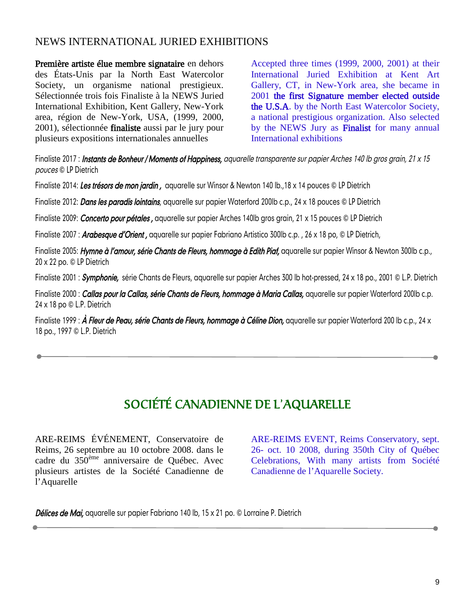#### NEWS INTERNATIONAL JURIED EXHIBITIONS

Première artiste élue membre signataire en dehors des États-Unis par la North East Watercolor Society, un organisme national prestigieux. Sélectionnée trois fois Finaliste à la NEWS Juried International Exhibition, Kent Gallery, New-York area, région de New-York, USA, (1999, 2000, 2001), sélectionnée finaliste aussi par le jury pour plusieurs expositions internationales annuelles

Accepted three times (1999, 2000, 2001) at their International Juried Exhibition at Kent Art Gallery, CT, in New-York area, she became in 2001 the first Signature member elected outside the U.S.A. by the North East Watercolor Society, a national prestigious organization. Also selected by the NEWS Jury as Finalist for many annual International exhibitions

Finaliste 2017 : *Instants de Bonheur / Moments of Happiness, aquarelle transparente sur papier Arches 140 lb gros grain, 21 x 15 pouces* © LP Dietrich

Finaliste 2014: *Les trésors de mon jardin ,* aquarelle sur Winsor & Newton 140 lb.,18 x 14 pouces © LP Dietrich

Finaliste 2012: *Dans les paradis lointains*, aquarelle sur papier Waterford 200lb c.p., 24 x 18 pouces © LP Dietrich

Finaliste 2009: *Concerto pour pétales ,* aquarelle sur papier Arches 140lb gros grain, 21 x 15 pouces © LP Dietrich

Finaliste 2007 : *Arabesque d'Orient ,* aquarelle sur papier Fabriano Artistico 300lb c.p. , 26 x 18 po, © LP Dietrich,

Finaliste 2005: *Hymne à l'amour, série Chants de Fleurs, hommage à Edith Piaf,* aquarelle sur papier Winsor & Newton 300lb c.p., 20 x 22 po. © LP Dietrich

Finaliste 2001 : *Symphonie,* série Chants de Fleurs, aquarelle sur papier Arches 300 lb hot-pressed, 24 x 18 po., 2001 © L.P. Dietrich

Finaliste 2000 : *Callas pour la Callas, série Chants de Fleurs, hommage à Maria Callas,* aquarelle sur papier Waterford 200lb c.p. 24 x 18 po © L.P. Dietrich

Finaliste 1999 : *À Fleur de Peau, série Chants de Fleurs, hommage à Céline Dion,* aquarelle sur papier Waterford 200 lb c.p., 24 x 18 po., 1997 © L.P. Dietrich

## SOCIÉTÉ CANADIENNE DE L'AQUARELLE

ARE-REIMS ÉVÉNEMENT, Conservatoire de Reims, 26 septembre au 10 octobre 2008. dans le cadre du 350ème anniversaire de Québec. Avec plusieurs artistes de la Société Canadienne de l'Aquarelle

í

ARE-REIMS EVENT, Reims Conservatory, sept. 26- oct. 10 2008, during 350th City of Québec Celebrations, With many artists from Société Canadienne de l'Aquarelle Society.

*Délices de Mai,* aquarelle sur papier Fabriano 140 lb, 15 x 21 po. © Lorraine P. Dietrich